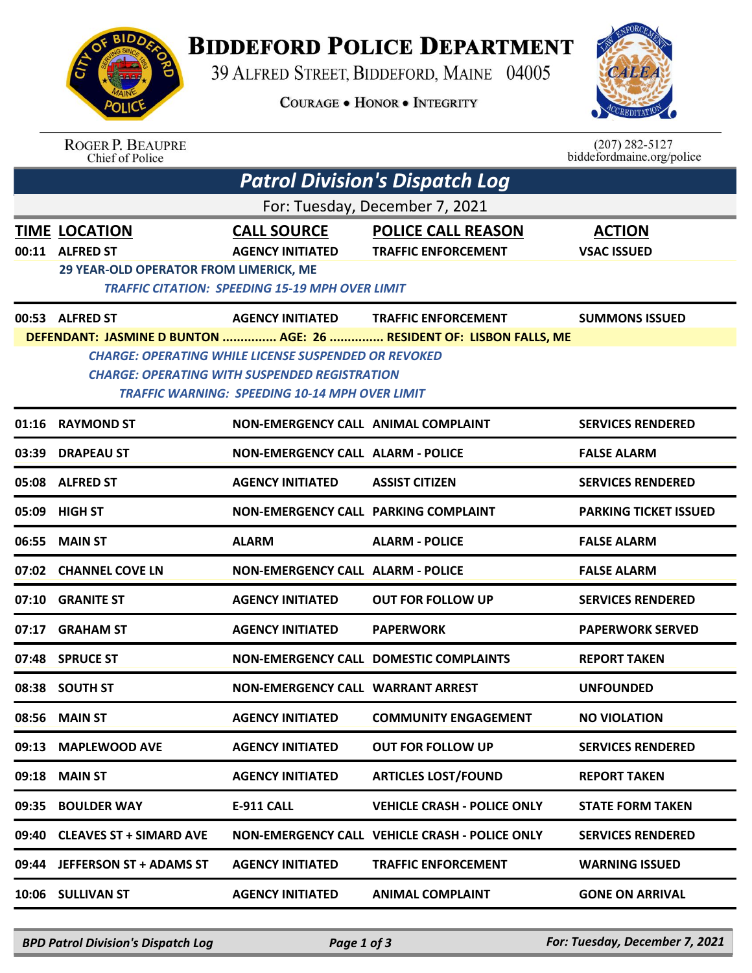

## **BIDDEFORD POLICE DEPARTMENT**

39 ALFRED STREET, BIDDEFORD, MAINE 04005

**COURAGE . HONOR . INTEGRITY** 



|                                                                                                                                                                                                                                                     | <b>ROGER P. BEAUPRE</b><br><b>Chief of Police</b>                                  |                                                        |                                                         | $(207)$ 282-5127<br>biddefordmaine.org/police |  |  |  |  |
|-----------------------------------------------------------------------------------------------------------------------------------------------------------------------------------------------------------------------------------------------------|------------------------------------------------------------------------------------|--------------------------------------------------------|---------------------------------------------------------|-----------------------------------------------|--|--|--|--|
|                                                                                                                                                                                                                                                     |                                                                                    |                                                        | <b>Patrol Division's Dispatch Log</b>                   |                                               |  |  |  |  |
| For: Tuesday, December 7, 2021                                                                                                                                                                                                                      |                                                                                    |                                                        |                                                         |                                               |  |  |  |  |
| 00:11                                                                                                                                                                                                                                               | <b>TIME LOCATION</b><br><b>ALFRED ST</b><br>29 YEAR-OLD OPERATOR FROM LIMERICK, ME | <b>CALL SOURCE</b><br><b>AGENCY INITIATED</b>          | <b>POLICE CALL REASON</b><br><b>TRAFFIC ENFORCEMENT</b> | <b>ACTION</b><br><b>VSAC ISSUED</b>           |  |  |  |  |
|                                                                                                                                                                                                                                                     |                                                                                    | <b>TRAFFIC CITATION: SPEEDING 15-19 MPH OVER LIMIT</b> |                                                         |                                               |  |  |  |  |
|                                                                                                                                                                                                                                                     | 00:53 ALFRED ST                                                                    | <b>AGENCY INITIATED</b>                                | <b>TRAFFIC ENFORCEMENT</b>                              | <b>SUMMONS ISSUED</b>                         |  |  |  |  |
| DEFENDANT: JASMINE D BUNTON  AGE: 26  RESIDENT OF: LISBON FALLS, ME<br><b>CHARGE: OPERATING WHILE LICENSE SUSPENDED OR REVOKED</b><br><b>CHARGE: OPERATING WITH SUSPENDED REGISTRATION</b><br><b>TRAFFIC WARNING: SPEEDING 10-14 MPH OVER LIMIT</b> |                                                                                    |                                                        |                                                         |                                               |  |  |  |  |
| 01:16                                                                                                                                                                                                                                               | <b>RAYMOND ST</b>                                                                  | <b>NON-EMERGENCY CALL ANIMAL COMPLAINT</b>             |                                                         | <b>SERVICES RENDERED</b>                      |  |  |  |  |
| 03:39                                                                                                                                                                                                                                               | <b>DRAPEAU ST</b>                                                                  | <b>NON-EMERGENCY CALL ALARM - POLICE</b>               |                                                         | <b>FALSE ALARM</b>                            |  |  |  |  |
| 05:08                                                                                                                                                                                                                                               | <b>ALFRED ST</b>                                                                   | <b>AGENCY INITIATED</b>                                | <b>ASSIST CITIZEN</b>                                   | <b>SERVICES RENDERED</b>                      |  |  |  |  |
| 05:09                                                                                                                                                                                                                                               | <b>HIGH ST</b>                                                                     | NON-EMERGENCY CALL PARKING COMPLAINT                   |                                                         | <b>PARKING TICKET ISSUED</b>                  |  |  |  |  |
| 06:55                                                                                                                                                                                                                                               | <b>MAIN ST</b>                                                                     | <b>ALARM</b>                                           | <b>ALARM - POLICE</b>                                   | <b>FALSE ALARM</b>                            |  |  |  |  |
| 07:02                                                                                                                                                                                                                                               | <b>CHANNEL COVE LN</b>                                                             | <b>NON-EMERGENCY CALL ALARM - POLICE</b>               |                                                         | <b>FALSE ALARM</b>                            |  |  |  |  |
| 07:10                                                                                                                                                                                                                                               | <b>GRANITE ST</b>                                                                  | <b>AGENCY INITIATED</b>                                | <b>OUT FOR FOLLOW UP</b>                                | <b>SERVICES RENDERED</b>                      |  |  |  |  |
| 07:17                                                                                                                                                                                                                                               | <b>GRAHAM ST</b>                                                                   | <b>AGENCY INITIATED</b>                                | <b>PAPERWORK</b>                                        | <b>PAPERWORK SERVED</b>                       |  |  |  |  |
| 07:48                                                                                                                                                                                                                                               | <b>SPRUCE ST</b>                                                                   |                                                        | <b>NON-EMERGENCY CALL DOMESTIC COMPLAINTS</b>           | <b>REPORT TAKEN</b>                           |  |  |  |  |
|                                                                                                                                                                                                                                                     | 08:38 SOUTH ST                                                                     | <b>NON-EMERGENCY CALL WARRANT ARREST</b>               |                                                         | <b>UNFOUNDED</b>                              |  |  |  |  |
| 08:56                                                                                                                                                                                                                                               | <b>MAIN ST</b>                                                                     | <b>AGENCY INITIATED</b>                                | <b>COMMUNITY ENGAGEMENT</b>                             | <b>NO VIOLATION</b>                           |  |  |  |  |
| 09:13                                                                                                                                                                                                                                               | <b>MAPLEWOOD AVE</b>                                                               | <b>AGENCY INITIATED</b>                                | <b>OUT FOR FOLLOW UP</b>                                | <b>SERVICES RENDERED</b>                      |  |  |  |  |
| 09:18                                                                                                                                                                                                                                               | <b>MAIN ST</b>                                                                     | <b>AGENCY INITIATED</b>                                | <b>ARTICLES LOST/FOUND</b>                              | <b>REPORT TAKEN</b>                           |  |  |  |  |
| 09:35                                                                                                                                                                                                                                               | <b>BOULDER WAY</b>                                                                 | <b>E-911 CALL</b>                                      | <b>VEHICLE CRASH - POLICE ONLY</b>                      | <b>STATE FORM TAKEN</b>                       |  |  |  |  |
| 09:40                                                                                                                                                                                                                                               | <b>CLEAVES ST + SIMARD AVE</b>                                                     |                                                        | <b>NON-EMERGENCY CALL VEHICLE CRASH - POLICE ONLY</b>   | <b>SERVICES RENDERED</b>                      |  |  |  |  |
|                                                                                                                                                                                                                                                     | 09:44 JEFFERSON ST + ADAMS ST                                                      | <b>AGENCY INITIATED</b>                                | <b>TRAFFIC ENFORCEMENT</b>                              | <b>WARNING ISSUED</b>                         |  |  |  |  |
| 10:06                                                                                                                                                                                                                                               | <b>SULLIVAN ST</b>                                                                 | <b>AGENCY INITIATED</b>                                | <b>ANIMAL COMPLAINT</b>                                 | <b>GONE ON ARRIVAL</b>                        |  |  |  |  |

*BPD Patrol Division's Dispatch Log Page 1 of 3 For: Tuesday, December 7, 2021*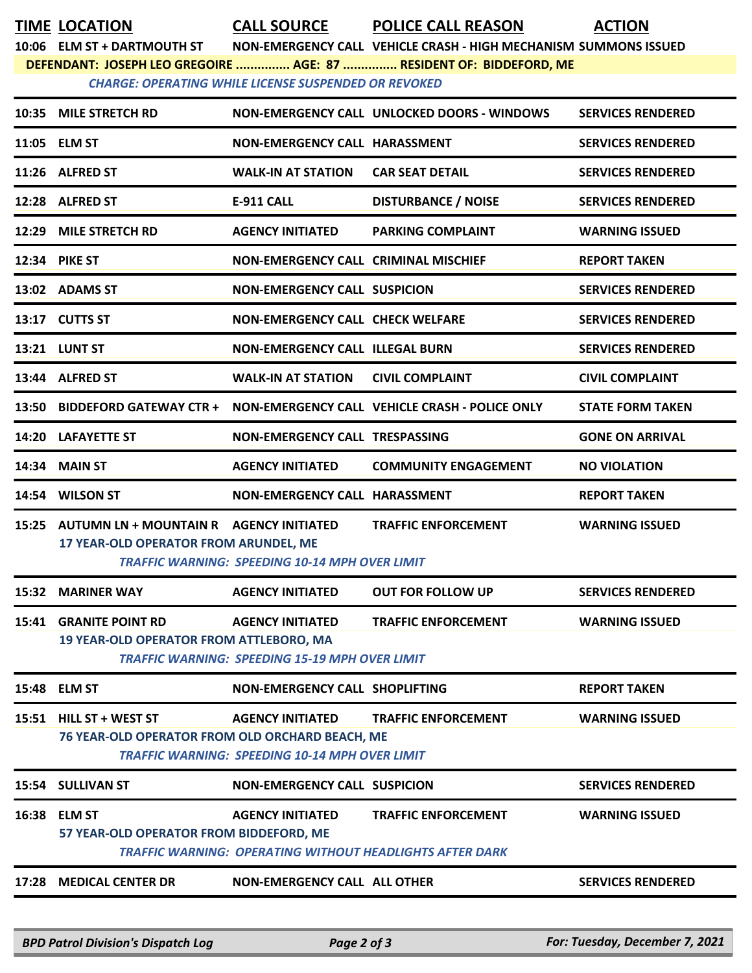**TIME LOCATION CALL SOURCE POLICE CALL REASON ACTION**

**10:06 ELM ST + DARTMOUTH ST NON-EMERGENCY CALL VEHICLE CRASH - HIGH MECHANISM SUMMONS ISSUED DEFENDANT: JOSEPH LEO GREGOIRE ............... AGE: 87 ............... RESIDENT OF: BIDDEFORD, ME**

*CHARGE: OPERATING WHILE LICENSE SUSPENDED OR REVOKED* 

|       | 10:35 MILE STRETCH RD                                                            |                                                                                            | NON-EMERGENCY CALL UNLOCKED DOORS - WINDOWS    | <b>SERVICES RENDERED</b> |
|-------|----------------------------------------------------------------------------------|--------------------------------------------------------------------------------------------|------------------------------------------------|--------------------------|
|       | 11:05 ELM ST                                                                     | NON-EMERGENCY CALL HARASSMENT                                                              |                                                | <b>SERVICES RENDERED</b> |
|       | 11:26 ALFRED ST                                                                  | <b>WALK-IN AT STATION</b>                                                                  | <b>CAR SEAT DETAIL</b>                         | <b>SERVICES RENDERED</b> |
|       | 12:28 ALFRED ST                                                                  | <b>E-911 CALL</b>                                                                          | <b>DISTURBANCE / NOISE</b>                     | <b>SERVICES RENDERED</b> |
|       | 12:29 MILE STRETCH RD                                                            | <b>AGENCY INITIATED</b>                                                                    | <b>PARKING COMPLAINT</b>                       | <b>WARNING ISSUED</b>    |
|       | 12:34 PIKE ST                                                                    | <b>NON-EMERGENCY CALL CRIMINAL MISCHIEF</b>                                                |                                                | <b>REPORT TAKEN</b>      |
|       | 13:02 ADAMS ST                                                                   | <b>NON-EMERGENCY CALL SUSPICION</b>                                                        |                                                | <b>SERVICES RENDERED</b> |
|       | 13:17 CUTTS ST                                                                   | <b>NON-EMERGENCY CALL CHECK WELFARE</b>                                                    |                                                | <b>SERVICES RENDERED</b> |
|       | <b>13:21 LUNT ST</b>                                                             | <b>NON-EMERGENCY CALL ILLEGAL BURN</b>                                                     |                                                | <b>SERVICES RENDERED</b> |
|       | 13:44 ALFRED ST                                                                  | <b>WALK-IN AT STATION</b>                                                                  | <b>CIVIL COMPLAINT</b>                         | <b>CIVIL COMPLAINT</b>   |
| 13:50 | <b>BIDDEFORD GATEWAY CTR +</b>                                                   |                                                                                            | NON-EMERGENCY CALL VEHICLE CRASH - POLICE ONLY | <b>STATE FORM TAKEN</b>  |
|       | 14:20 LAFAYETTE ST                                                               | NON-EMERGENCY CALL TRESPASSING                                                             |                                                | <b>GONE ON ARRIVAL</b>   |
| 14:34 | <b>MAIN ST</b>                                                                   | <b>AGENCY INITIATED</b>                                                                    | <b>COMMUNITY ENGAGEMENT</b>                    | <b>NO VIOLATION</b>      |
|       | 14:54 WILSON ST                                                                  | NON-EMERGENCY CALL HARASSMENT                                                              |                                                | <b>REPORT TAKEN</b>      |
|       |                                                                                  |                                                                                            |                                                |                          |
| 15:25 | AUTUMN LN + MOUNTAIN R AGENCY INITIATED<br>17 YEAR-OLD OPERATOR FROM ARUNDEL, ME | <b>TRAFFIC WARNING: SPEEDING 10-14 MPH OVER LIMIT</b>                                      | <b>TRAFFIC ENFORCEMENT</b>                     | <b>WARNING ISSUED</b>    |
| 15:32 | <b>MARINER WAY</b>                                                               | <b>AGENCY INITIATED</b>                                                                    | <b>OUT FOR FOLLOW UP</b>                       | <b>SERVICES RENDERED</b> |
| 15:41 | <b>GRANITE POINT RD</b><br><b>19 YEAR-OLD OPERATOR FROM ATTLEBORO, MA</b>        | <b>AGENCY INITIATED</b><br>TRAFFIC WARNING: SPEEDING 15-19 MPH OVER LIMIT                  | <b>TRAFFIC ENFORCEMENT</b>                     | <b>WARNING ISSUED</b>    |
|       | 15:48 ELM ST                                                                     | NON-EMERGENCY CALL SHOPLIFTING                                                             |                                                | <b>REPORT TAKEN</b>      |
|       | 15:51 HILL ST + WEST ST<br>76 YEAR-OLD OPERATOR FROM OLD ORCHARD BEACH, ME       | <b>AGENCY INITIATED</b><br><b>TRAFFIC WARNING: SPEEDING 10-14 MPH OVER LIMIT</b>           | <b>TRAFFIC ENFORCEMENT</b>                     | <b>WARNING ISSUED</b>    |
|       | 15:54 SULLIVAN ST                                                                | <b>NON-EMERGENCY CALL SUSPICION</b>                                                        |                                                | <b>SERVICES RENDERED</b> |
|       | 16:38 ELM ST<br>57 YEAR-OLD OPERATOR FROM BIDDEFORD, ME                          | <b>AGENCY INITIATED</b><br><b>TRAFFIC WARNING: OPERATING WITHOUT HEADLIGHTS AFTER DARK</b> | <b>TRAFFIC ENFORCEMENT</b>                     | <b>WARNING ISSUED</b>    |

*BPD Patrol Division's Dispatch Log Page 2 of 3 For: Tuesday, December 7, 2021*